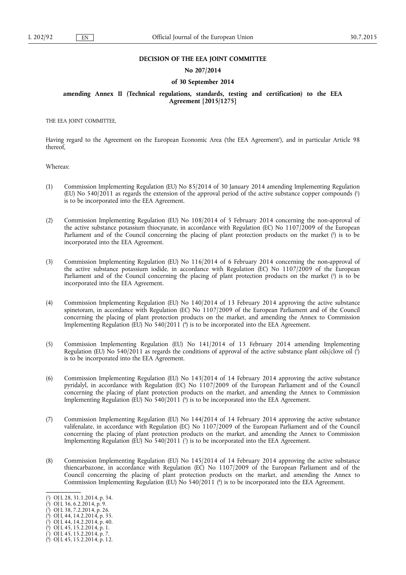#### **DECISION OF THE EEA JOINT COMMITTEE**

### **No 207/2014**

#### **of 30 September 2014**

## **amending Annex II (Technical regulations, standards, testing and certification) to the EEA Agreement [2015/1275]**

THE EEA JOINT COMMITTEE,

Having regard to the Agreement on the European Economic Area ('the EEA Agreement'), and in particular Article 98 thereof,

Whereas:

- (1) Commission Implementing Regulation (EU) No 85/2014 of 30 January 2014 amending Implementing Regulation (EU) No 540/2011 as regards the extension of the approval period of the active substance copper compounds (1 ) is to be incorporated into the EEA Agreement.
- (2) Commission Implementing Regulation (EU) No 108/2014 of 5 February 2014 concerning the non-approval of the active substance potassium thiocyanate, in accordance with Regulation (EC) No 1107/2009 of the European Parliament and of the Council concerning the placing of plant protection products on the market  $\binom{2}{1}$  is to be incorporated into the EEA Agreement.
- (3) Commission Implementing Regulation (EU) No 116/2014 of 6 February 2014 concerning the non-approval of the active substance potassium iodide, in accordance with Regulation (EC) No 1107/2009 of the European Parliament and of the Council concerning the placing of plant protection products on the market  $\binom{3}{2}$  is to be incorporated into the EEA Agreement.
- (4) Commission Implementing Regulation (EU) No 140/2014 of 13 February 2014 approving the active substance spinetoram, in accordance with Regulation (EC) No 1107/2009 of the European Parliament and of the Council concerning the placing of plant protection products on the market, and amending the Annex to Commission Implementing Regulation (EU) No 540/2011 (<sup>4</sup>) is to be incorporated into the EEA Agreement.
- (5) Commission Implementing Regulation (EU) No 141/2014 of 13 February 2014 amending Implementing Regulation (EU) No 540/2011 as regards the conditions of approval of the active substance plant oils/clove oil (5 ) is to be incorporated into the EEA Agreement.
- (6) Commission Implementing Regulation (EU) No 143/2014 of 14 February 2014 approving the active substance pyridalyl, in accordance with Regulation (EC) No 1107/2009 of the European Parliament and of the Council concerning the placing of plant protection products on the market, and amending the Annex to Commission Implementing Regulation (EU) No  $540/2011$  ( $^6$ ) is to be incorporated into the EEA Agreement.
- (7) Commission Implementing Regulation (EU) No 144/2014 of 14 February 2014 approving the active substance valifenalate, in accordance with Regulation (EC) No 1107/2009 of the European Parliament and of the Council concerning the placing of plant protection products on the market, and amending the Annex to Commission Implementing Regulation (EU) No  $540/2011$  ( $\bar{y}$ ) is to be incorporated into the EEA Agreement.
- (8) Commission Implementing Regulation (EU) No 145/2014 of 14 February 2014 approving the active substance thiencarbazone, in accordance with Regulation (EC) No 1107/2009 of the European Parliament and of the Council concerning the placing of plant protection products on the market, and amending the Annex to Commission Implementing Regulation (EU) No 540/2011 (<sup>8</sup>) is to be incorporated into the EEA Agreement.

- ( 2 ) OJ L 36, 6.2.2014, p. 9.
- $(3)$  OJ L 38, 7.2.2014, p. 26.
- ( 4 ) OJ L 44, 14.2.2014, p. 35.
- ( 5 ) OJ L 44, 14.2.2014, p. 40.

<sup>(</sup> 1 ) OJ L 28, 31.1.2014, p. 34.

 $(9)$  OJ L 45, 15.2.2014, p. 1. ( 7 ) OJ L 45, 15.2.2014, p. 7.

<sup>(</sup> 8 ) OJ L 45, 15.2.2014, p. 12.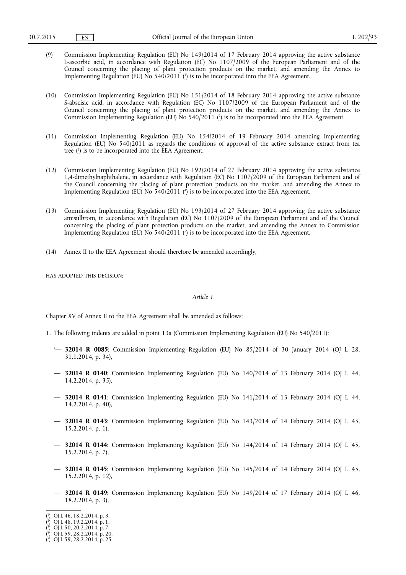- (9) Commission Implementing Regulation (EU) No 149/2014 of 17 February 2014 approving the active substance L-ascorbic acid, in accordance with Regulation (EC) No 1107/2009 of the European Parliament and of the Council concerning the placing of plant protection products on the market, and amending the Annex to Implementing Regulation (EU) No  $540/2011$  (<sup>1</sup>) is to be incorporated into the EEA Agreement.
- (10) Commission Implementing Regulation (EU) No 151/2014 of 18 February 2014 approving the active substance S-abscisic acid, in accordance with Regulation (EC) No 1107/2009 of the European Parliament and of the Council concerning the placing of plant protection products on the market, and amending the Annex to Commission Implementing Regulation (EU) No  $540/2011$  ( $^2$ ) is to be incorporated into the EEA Agreement.
- (11) Commission Implementing Regulation (EU) No 154/2014 of 19 February 2014 amending Implementing Regulation (EU) No 540/2011 as regards the conditions of approval of the active substance extract from tea tree (3 ) is to be incorporated into the EEA Agreement.
- (12) Commission Implementing Regulation (EU) No 192/2014 of 27 February 2014 approving the active substance 1,4-dimethylnaphthalene, in accordance with Regulation (EC) No 1107/2009 of the European Parliament and of the Council concerning the placing of plant protection products on the market, and amending the Annex to Implementing Regulation (EU) No 540/2011 (<sup>4</sup>) is to be incorporated into the EEA Agreement.
- (13) Commission Implementing Regulation (EU) No 193/2014 of 27 February 2014 approving the active substance amisulbrom, in accordance with Regulation (EC) No 1107/2009 of the European Parliament and of the Council concerning the placing of plant protection products on the market, and amending the Annex to Commission Implementing Regulation (EU) No  $540/2011$  ( $5$ ) is to be incorporated into the EEA Agreement.
- (14) Annex II to the EEA Agreement should therefore be amended accordingly,

HAS ADOPTED THIS DECISION:

#### *Article 1*

Chapter XV of Annex II to the EEA Agreement shall be amended as follows:

- 1. The following indents are added in point 13a (Commission Implementing Regulation (EU) No 540/2011):
	- '— **32014 R 0085**: Commission Implementing Regulation (EU) No 85/2014 of 30 January 2014 (OJ L 28, 31.1.2014, p. 34),
	- **32014 R 0140**: Commission Implementing Regulation (EU) No 140/2014 of 13 February 2014 (OJ L 44, 14.2.2014, p. 35),
	- **32014 R 0141**: Commission Implementing Regulation (EU) No 141/2014 of 13 February 2014 (OJ L 44, 14.2.2014, p. 40),
	- **32014 R 0143**: Commission Implementing Regulation (EU) No 143/2014 of 14 February 2014 (OJ L 45, 15.2.2014, p. 1),
	- **32014 R 0144**: Commission Implementing Regulation (EU) No 144/2014 of 14 February 2014 (OJ L 45, 15.2.2014, p. 7),
	- **32014 R 0145**: Commission Implementing Regulation (EU) No 145/2014 of 14 February 2014 (OJ L 45, 15.2.2014, p. 12),
	- **32014 R 0149**: Commission Implementing Regulation (EU) No 149/2014 of 17 February 2014 (OJ L 46, 18.2.2014, p. 3),

<sup>(</sup> 1 ) OJ L 46, 18.2.2014, p. 3.

<sup>(</sup> 2 ) OJ L 48, 19.2.2014, p. 1.

 $(3)$  OJ L 50, 20.2.2014, p. 7.

<sup>(</sup> 4 ) OJ L 59, 28.2.2014, p. 20.

<sup>(</sup> 5 ) OJ L 59, 28.2.2014, p. 25.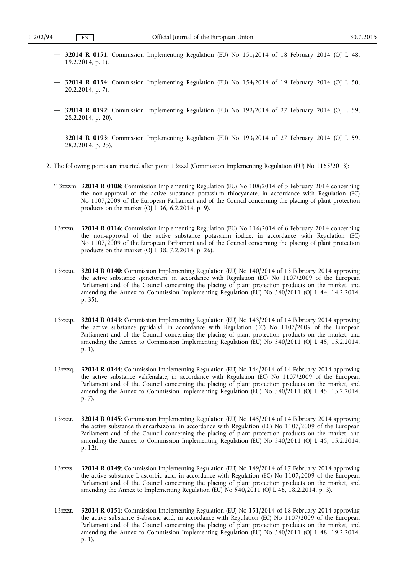- **32014 R 0151**: Commission Implementing Regulation (EU) No 151/2014 of 18 February 2014 (OJ L 48, 19.2.2014, p. 1),
- **32014 R 0154**: Commission Implementing Regulation (EU) No 154/2014 of 19 February 2014 (OJ L 50, 20.2.2014, p. 7),
- **32014 R 0192**: Commission Implementing Regulation (EU) No 192/2014 of 27 February 2014 (OJ L 59, 28.2.2014, p. 20),
- **32014 R 0193**: Commission Implementing Regulation (EU) No 193/2014 of 27 February 2014 (OJ L 59, 28.2.2014, p. 25).'
- 2. The following points are inserted after point 13zzzl (Commission Implementing Regulation (EU) No 1165/2013):
	- '13zzzm. **32014 R 0108**: Commission Implementing Regulation (EU) No 108/2014 of 5 February 2014 concerning the non-approval of the active substance potassium thiocyanate, in accordance with Regulation (EC) No 1107/2009 of the European Parliament and of the Council concerning the placing of plant protection products on the market  $(OJ L 36, 6.2.2014, p. 9)$ .
	- 13zzzn. **32014 R 0116**: Commission Implementing Regulation (EU) No 116/2014 of 6 February 2014 concerning the non-approval of the active substance potassium iodide, in accordance with Regulation (EC) No 1107/2009 of the European Parliament and of the Council concerning the placing of plant protection products on the market  $(OJ L 38, 7.2.2014, p. 26)$ .
	- 13zzzo. **32014 R 0140**: Commission Implementing Regulation (EU) No 140/2014 of 13 February 2014 approving the active substance spinetoram, in accordance with Regulation (EC) No 1107/2009 of the European Parliament and of the Council concerning the placing of plant protection products on the market, and amending the Annex to Commission Implementing Regulation (EU) No 540/2011 (OJ L 44, 14.2.2014, p. 35).
	- 13zzzp. **32014 R 0143**: Commission Implementing Regulation (EU) No 143/2014 of 14 February 2014 approving the active substance pyridalyl, in accordance with Regulation (EC) No 1107/2009 of the European Parliament and of the Council concerning the placing of plant protection products on the market, and amending the Annex to Commission Implementing Regulation (EU) No 540/2011 (OJ L 45, 15.2.2014, p. 1).
	- 13zzzq. **32014 R 0144**: Commission Implementing Regulation (EU) No 144/2014 of 14 February 2014 approving the active substance valifenalate, in accordance with Regulation (EC) No 1107/2009 of the European Parliament and of the Council concerning the placing of plant protection products on the market, and amending the Annex to Commission Implementing Regulation (EU) No 540/2011 (OJ L 45, 15.2.2014, p. 7).
	- 13zzzr. **32014 R 0145**: Commission Implementing Regulation (EU) No 145/2014 of 14 February 2014 approving the active substance thiencarbazone, in accordance with Regulation (EC) No 1107/2009 of the European Parliament and of the Council concerning the placing of plant protection products on the market, and amending the Annex to Commission Implementing Regulation (EU) No 540/2011 (OJ L 45, 15.2.2014, p. 12).
	- 13zzzs. **32014 R 0149**: Commission Implementing Regulation (EU) No 149/2014 of 17 February 2014 approving the active substance L-ascorbic acid, in accordance with Regulation (EC) No 1107/2009 of the European Parliament and of the Council concerning the placing of plant protection products on the market, and amending the Annex to Implementing Regulation (EU) No  $\frac{540}{2011}$  (OJ L 46, 18.2.2014, p. 3).
	- 13zzzt. **32014 R 0151**: Commission Implementing Regulation (EU) No 151/2014 of 18 February 2014 approving the active substance S-abscisic acid, in accordance with Regulation (EC) No 1107/2009 of the European Parliament and of the Council concerning the placing of plant protection products on the market, and amending the Annex to Commission Implementing Regulation (EU) No 540/2011 (OJ L 48, 19.2.2014, p. 1).